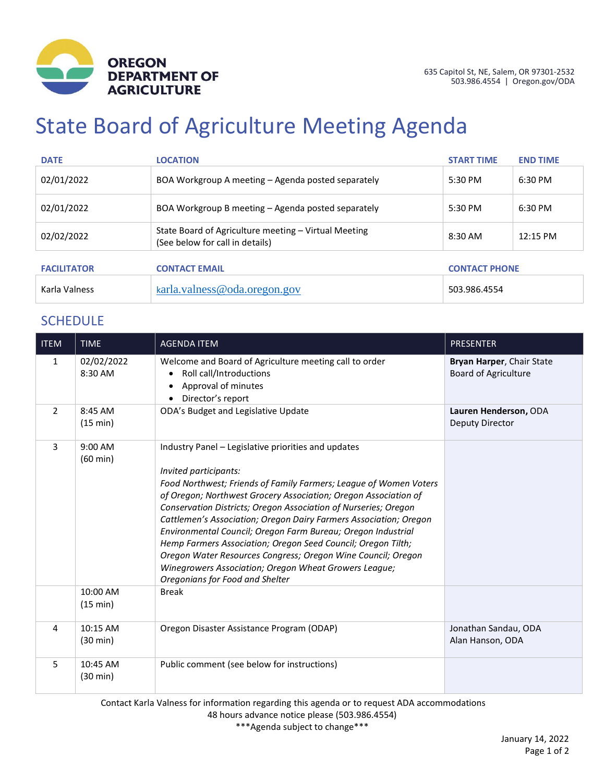

# State Board of Agriculture Meeting Agenda

| <b>DATE</b>        | <b>LOCATION</b>                                                                         | <b>START TIME</b>    | <b>END TIME</b> |
|--------------------|-----------------------------------------------------------------------------------------|----------------------|-----------------|
| 02/01/2022         | BOA Workgroup A meeting – Agenda posted separately                                      | 5:30 PM              | 6:30 PM         |
| 02/01/2022         | BOA Workgroup B meeting – Agenda posted separately                                      | 5:30 PM              | 6:30 PM         |
| 02/02/2022         | State Board of Agriculture meeting - Virtual Meeting<br>(See below for call in details) | 8:30 AM              | 12:15 PM        |
| <b>FACILITATOR</b> | <b>CONTACT EMAIL</b>                                                                    | <b>CONTACT PHONE</b> |                 |
| Karla Valness      | karla.values@oda.oregon.gov                                                             | 503.986.4554         |                 |

## **SCHEDULE**

| <b>ITEM</b>   | <b>TIME</b>                     | <b>AGENDA ITEM</b>                                                                                                                                                                                                                                                                                                                                                                                                                                                                                                                                                                                                                                       | <b>PRESENTER</b>                                         |
|---------------|---------------------------------|----------------------------------------------------------------------------------------------------------------------------------------------------------------------------------------------------------------------------------------------------------------------------------------------------------------------------------------------------------------------------------------------------------------------------------------------------------------------------------------------------------------------------------------------------------------------------------------------------------------------------------------------------------|----------------------------------------------------------|
| 1             | 02/02/2022<br>8:30 AM           | Welcome and Board of Agriculture meeting call to order<br>Roll call/Introductions<br>$\bullet$<br>Approval of minutes<br>Director's report                                                                                                                                                                                                                                                                                                                                                                                                                                                                                                               | Bryan Harper, Chair State<br><b>Board of Agriculture</b> |
| $\mathcal{P}$ | 8:45 AM<br>(15 min)             | ODA's Budget and Legislative Update                                                                                                                                                                                                                                                                                                                                                                                                                                                                                                                                                                                                                      | Lauren Henderson, ODA<br><b>Deputy Director</b>          |
| 3             | $9:00$ AM<br>$(60 \text{ min})$ | Industry Panel – Legislative priorities and updates<br>Invited participants:<br>Food Northwest; Friends of Family Farmers; League of Women Voters<br>of Oregon; Northwest Grocery Association; Oregon Association of<br>Conservation Districts; Oregon Association of Nurseries; Oregon<br>Cattlemen's Association; Oregon Dairy Farmers Association; Oregon<br>Environmental Council; Oregon Farm Bureau; Oregon Industrial<br>Hemp Farmers Association; Oregon Seed Council; Oregon Tilth;<br>Oregon Water Resources Congress; Oregon Wine Council; Oregon<br>Winegrowers Association; Oregon Wheat Growers League;<br>Oregonians for Food and Shelter |                                                          |
|               | 10:00 AM<br>(15 min)            | <b>Break</b>                                                                                                                                                                                                                                                                                                                                                                                                                                                                                                                                                                                                                                             |                                                          |
| 4             | 10:15 AM<br>$(30 \text{ min})$  | Oregon Disaster Assistance Program (ODAP)                                                                                                                                                                                                                                                                                                                                                                                                                                                                                                                                                                                                                | Jonathan Sandau, ODA<br>Alan Hanson, ODA                 |
| 5             | 10:45 AM<br>$(30 \text{ min})$  | Public comment (see below for instructions)                                                                                                                                                                                                                                                                                                                                                                                                                                                                                                                                                                                                              |                                                          |

Contact Karla Valness for information regarding this agenda or to request ADA accommodations

48 hours advance notice please (503.986.4554)

\*\*\*Agenda subject to change\*\*\*